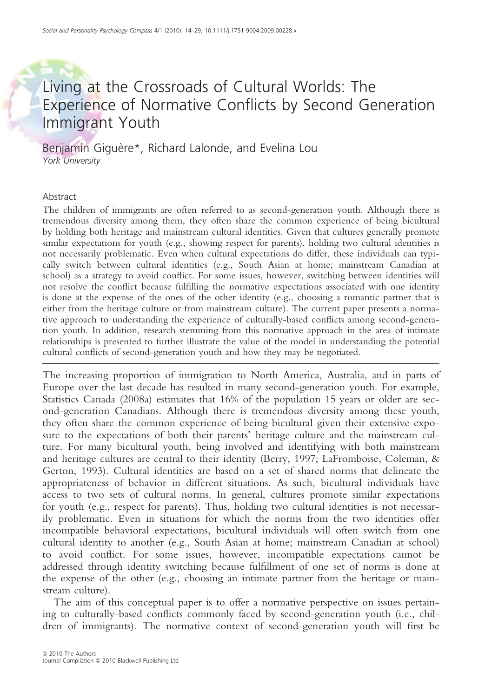# Living at the Crossroads of Cultural Worlds: The Experience of Normative Conflicts by Second Generation Immigrant Youth

Benjamin Giguère\*, Richard Lalonde, and Evelina Lou York University

## Abstract

The children of immigrants are often referred to as second-generation youth. Although there is tremendous diversity among them, they often share the common experience of being bicultural by holding both heritage and mainstream cultural identities. Given that cultures generally promote similar expectations for youth (e.g., showing respect for parents), holding two cultural identities is not necessarily problematic. Even when cultural expectations do differ, these individuals can typically switch between cultural identities (e.g., South Asian at home; mainstream Canadian at school) as a strategy to avoid conflict. For some issues, however, switching between identities will not resolve the conflict because fulfilling the normative expectations associated with one identity is done at the expense of the ones of the other identity (e.g., choosing a romantic partner that is either from the heritage culture or from mainstream culture). The current paper presents a normative approach to understanding the experience of culturally-based conflicts among second-generation youth. In addition, research stemming from this normative approach in the area of intimate relationships is presented to further illustrate the value of the model in understanding the potential cultural conflicts of second-generation youth and how they may be negotiated.

The increasing proportion of immigration to North America, Australia, and in parts of Europe over the last decade has resulted in many second-generation youth. For example, Statistics Canada (2008a) estimates that 16% of the population 15 years or older are second-generation Canadians. Although there is tremendous diversity among these youth, they often share the common experience of being bicultural given their extensive exposure to the expectations of both their parents' heritage culture and the mainstream culture. For many bicultural youth, being involved and identifying with both mainstream and heritage cultures are central to their identity (Berry, 1997; LaFromboise, Coleman, & Gerton, 1993). Cultural identities are based on a set of shared norms that delineate the appropriateness of behavior in different situations. As such, bicultural individuals have access to two sets of cultural norms. In general, cultures promote similar expectations for youth (e.g., respect for parents). Thus, holding two cultural identities is not necessarily problematic. Even in situations for which the norms from the two identities offer incompatible behavioral expectations, bicultural individuals will often switch from one cultural identity to another (e.g., South Asian at home; mainstream Canadian at school) to avoid conflict. For some issues, however, incompatible expectations cannot be addressed through identity switching because fulfillment of one set of norms is done at the expense of the other (e.g., choosing an intimate partner from the heritage or mainstream culture).

The aim of this conceptual paper is to offer a normative perspective on issues pertaining to culturally-based conflicts commonly faced by second-generation youth (i.e., children of immigrants). The normative context of second-generation youth will first be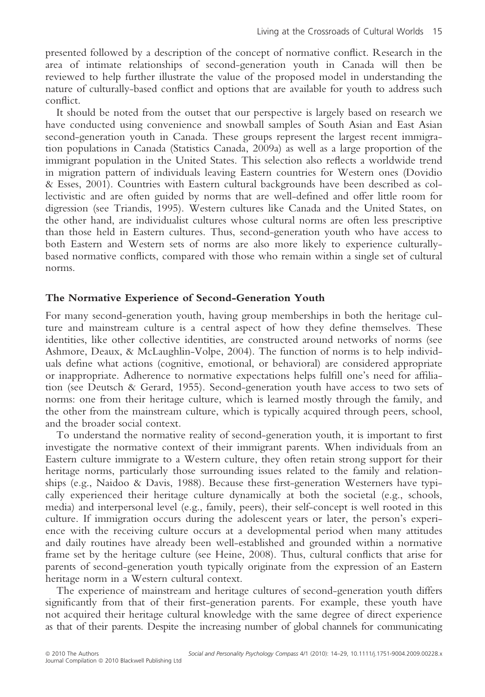presented followed by a description of the concept of normative conflict. Research in the area of intimate relationships of second-generation youth in Canada will then be reviewed to help further illustrate the value of the proposed model in understanding the nature of culturally-based conflict and options that are available for youth to address such conflict.

It should be noted from the outset that our perspective is largely based on research we have conducted using convenience and snowball samples of South Asian and East Asian second-generation youth in Canada. These groups represent the largest recent immigration populations in Canada (Statistics Canada, 2009a) as well as a large proportion of the immigrant population in the United States. This selection also reflects a worldwide trend in migration pattern of individuals leaving Eastern countries for Western ones (Dovidio & Esses, 2001). Countries with Eastern cultural backgrounds have been described as collectivistic and are often guided by norms that are well-defined and offer little room for digression (see Triandis, 1995). Western cultures like Canada and the United States, on the other hand, are individualist cultures whose cultural norms are often less prescriptive than those held in Eastern cultures. Thus, second-generation youth who have access to both Eastern and Western sets of norms are also more likely to experience culturallybased normative conflicts, compared with those who remain within a single set of cultural norms.

# The Normative Experience of Second-Generation Youth

For many second-generation youth, having group memberships in both the heritage culture and mainstream culture is a central aspect of how they define themselves. These identities, like other collective identities, are constructed around networks of norms (see Ashmore, Deaux, & McLaughlin-Volpe, 2004). The function of norms is to help individuals define what actions (cognitive, emotional, or behavioral) are considered appropriate or inappropriate. Adherence to normative expectations helps fulfill one's need for affiliation (see Deutsch & Gerard, 1955). Second-generation youth have access to two sets of norms: one from their heritage culture, which is learned mostly through the family, and the other from the mainstream culture, which is typically acquired through peers, school, and the broader social context.

To understand the normative reality of second-generation youth, it is important to first investigate the normative context of their immigrant parents. When individuals from an Eastern culture immigrate to a Western culture, they often retain strong support for their heritage norms, particularly those surrounding issues related to the family and relationships (e.g., Naidoo & Davis, 1988). Because these first-generation Westerners have typically experienced their heritage culture dynamically at both the societal (e.g., schools, media) and interpersonal level (e.g., family, peers), their self-concept is well rooted in this culture. If immigration occurs during the adolescent years or later, the person's experience with the receiving culture occurs at a developmental period when many attitudes and daily routines have already been well-established and grounded within a normative frame set by the heritage culture (see Heine, 2008). Thus, cultural conflicts that arise for parents of second-generation youth typically originate from the expression of an Eastern heritage norm in a Western cultural context.

The experience of mainstream and heritage cultures of second-generation youth differs significantly from that of their first-generation parents. For example, these youth have not acquired their heritage cultural knowledge with the same degree of direct experience as that of their parents. Despite the increasing number of global channels for communicating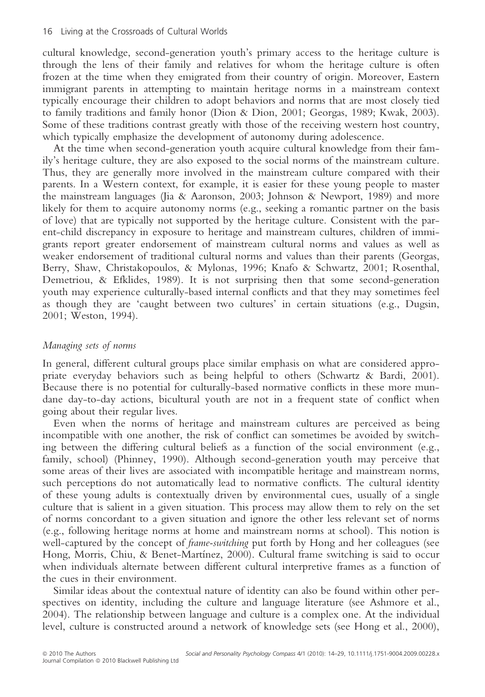cultural knowledge, second-generation youth's primary access to the heritage culture is through the lens of their family and relatives for whom the heritage culture is often frozen at the time when they emigrated from their country of origin. Moreover, Eastern immigrant parents in attempting to maintain heritage norms in a mainstream context typically encourage their children to adopt behaviors and norms that are most closely tied to family traditions and family honor (Dion & Dion, 2001; Georgas, 1989; Kwak, 2003). Some of these traditions contrast greatly with those of the receiving western host country, which typically emphasize the development of autonomy during adolescence.

At the time when second-generation youth acquire cultural knowledge from their family's heritage culture, they are also exposed to the social norms of the mainstream culture. Thus, they are generally more involved in the mainstream culture compared with their parents. In a Western context, for example, it is easier for these young people to master the mainstream languages (Jia & Aaronson, 2003; Johnson & Newport, 1989) and more likely for them to acquire autonomy norms (e.g., seeking a romantic partner on the basis of love) that are typically not supported by the heritage culture. Consistent with the parent-child discrepancy in exposure to heritage and mainstream cultures, children of immigrants report greater endorsement of mainstream cultural norms and values as well as weaker endorsement of traditional cultural norms and values than their parents (Georgas, Berry, Shaw, Christakopoulos, & Mylonas, 1996; Knafo & Schwartz, 2001; Rosenthal, Demetriou, & Efklides, 1989). It is not surprising then that some second-generation youth may experience culturally-based internal conflicts and that they may sometimes feel as though they are 'caught between two cultures' in certain situations (e.g., Dugsin, 2001; Weston, 1994).

# Managing sets of norms

In general, different cultural groups place similar emphasis on what are considered appropriate everyday behaviors such as being helpful to others (Schwartz & Bardi, 2001). Because there is no potential for culturally-based normative conflicts in these more mundane day-to-day actions, bicultural youth are not in a frequent state of conflict when going about their regular lives.

Even when the norms of heritage and mainstream cultures are perceived as being incompatible with one another, the risk of conflict can sometimes be avoided by switching between the differing cultural beliefs as a function of the social environment (e.g., family, school) (Phinney, 1990). Although second-generation youth may perceive that some areas of their lives are associated with incompatible heritage and mainstream norms, such perceptions do not automatically lead to normative conflicts. The cultural identity of these young adults is contextually driven by environmental cues, usually of a single culture that is salient in a given situation. This process may allow them to rely on the set of norms concordant to a given situation and ignore the other less relevant set of norms (e.g., following heritage norms at home and mainstream norms at school). This notion is well-captured by the concept of frame-switching put forth by Hong and her colleagues (see Hong, Morris, Chiu, & Benet-Martínez, 2000). Cultural frame switching is said to occur when individuals alternate between different cultural interpretive frames as a function of the cues in their environment.

Similar ideas about the contextual nature of identity can also be found within other perspectives on identity, including the culture and language literature (see Ashmore et al., 2004). The relationship between language and culture is a complex one. At the individual level, culture is constructed around a network of knowledge sets (see Hong et al., 2000),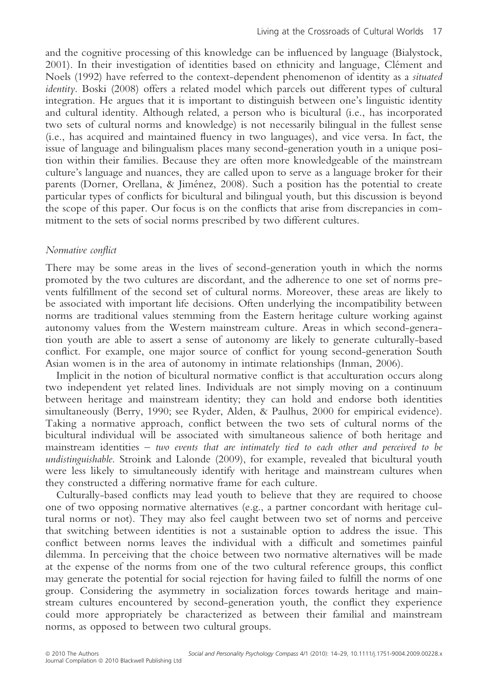and the cognitive processing of this knowledge can be influenced by language (Bialystock, 2001). In their investigation of identities based on ethnicity and language, Clément and Noels (1992) have referred to the context-dependent phenomenon of identity as a situated identity. Boski (2008) offers a related model which parcels out different types of cultural integration. He argues that it is important to distinguish between one's linguistic identity and cultural identity. Although related, a person who is bicultural (i.e., has incorporated two sets of cultural norms and knowledge) is not necessarily bilingual in the fullest sense (i.e., has acquired and maintained fluency in two languages), and vice versa. In fact, the issue of language and bilingualism places many second-generation youth in a unique position within their families. Because they are often more knowledgeable of the mainstream culture's language and nuances, they are called upon to serve as a language broker for their parents (Dorner, Orellana,  $\&$  Jiménez, 2008). Such a position has the potential to create particular types of conflicts for bicultural and bilingual youth, but this discussion is beyond the scope of this paper. Our focus is on the conflicts that arise from discrepancies in commitment to the sets of social norms prescribed by two different cultures.

# Normative conflict

There may be some areas in the lives of second-generation youth in which the norms promoted by the two cultures are discordant, and the adherence to one set of norms prevents fulfillment of the second set of cultural norms. Moreover, these areas are likely to be associated with important life decisions. Often underlying the incompatibility between norms are traditional values stemming from the Eastern heritage culture working against autonomy values from the Western mainstream culture. Areas in which second-generation youth are able to assert a sense of autonomy are likely to generate culturally-based conflict. For example, one major source of conflict for young second-generation South Asian women is in the area of autonomy in intimate relationships (Inman, 2006).

Implicit in the notion of bicultural normative conflict is that acculturation occurs along two independent yet related lines. Individuals are not simply moving on a continuum between heritage and mainstream identity; they can hold and endorse both identities simultaneously (Berry, 1990; see Ryder, Alden, & Paulhus, 2000 for empirical evidence). Taking a normative approach, conflict between the two sets of cultural norms of the bicultural individual will be associated with simultaneous salience of both heritage and mainstream identities – two events that are intimately tied to each other and perceived to be undistinguishable. Stroink and Lalonde (2009), for example, revealed that bicultural youth were less likely to simultaneously identify with heritage and mainstream cultures when they constructed a differing normative frame for each culture.

Culturally-based conflicts may lead youth to believe that they are required to choose one of two opposing normative alternatives (e.g., a partner concordant with heritage cultural norms or not). They may also feel caught between two set of norms and perceive that switching between identities is not a sustainable option to address the issue. This conflict between norms leaves the individual with a difficult and sometimes painful dilemma. In perceiving that the choice between two normative alternatives will be made at the expense of the norms from one of the two cultural reference groups, this conflict may generate the potential for social rejection for having failed to fulfill the norms of one group. Considering the asymmetry in socialization forces towards heritage and mainstream cultures encountered by second-generation youth, the conflict they experience could more appropriately be characterized as between their familial and mainstream norms, as opposed to between two cultural groups.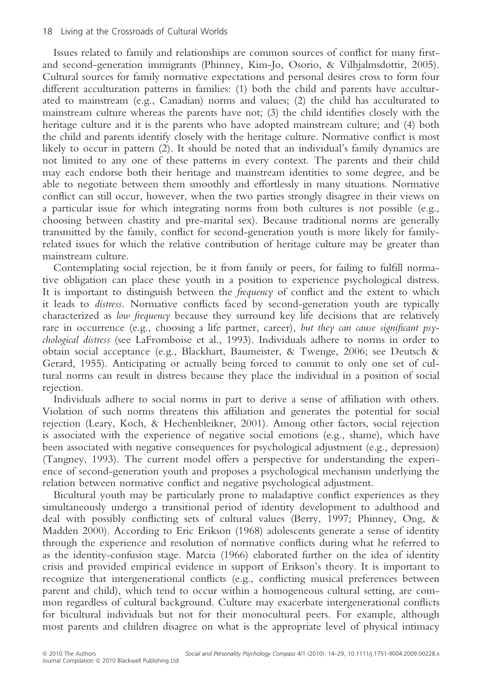Issues related to family and relationships are common sources of conflict for many firstand second-generation immigrants (Phinney, Kim-Jo, Osorio, & Vilhjalmsdottir, 2005). Cultural sources for family normative expectations and personal desires cross to form four different acculturation patterns in families: (1) both the child and parents have acculturated to mainstream (e.g., Canadian) norms and values; (2) the child has acculturated to mainstream culture whereas the parents have not; (3) the child identifies closely with the heritage culture and it is the parents who have adopted mainstream culture; and (4) both the child and parents identify closely with the heritage culture. Normative conflict is most likely to occur in pattern (2). It should be noted that an individual's family dynamics are not limited to any one of these patterns in every context. The parents and their child may each endorse both their heritage and mainstream identities to some degree, and be able to negotiate between them smoothly and effortlessly in many situations. Normative conflict can still occur, however, when the two parties strongly disagree in their views on a particular issue for which integrating norms from both cultures is not possible (e.g., choosing between chastity and pre-marital sex). Because traditional norms are generally transmitted by the family, conflict for second-generation youth is more likely for familyrelated issues for which the relative contribution of heritage culture may be greater than mainstream culture.

Contemplating social rejection, be it from family or peers, for failing to fulfill normative obligation can place these youth in a position to experience psychological distress. It is important to distinguish between the *frequency* of conflict and the extent to which it leads to distress. Normative conflicts faced by second-generation youth are typically characterized as low frequency because they surround key life decisions that are relatively rare in occurrence (e.g., choosing a life partner, career), but they can cause significant psychological distress (see LaFromboise et al., 1993). Individuals adhere to norms in order to obtain social acceptance (e.g., Blackhart, Baumeister, & Twenge, 2006; see Deutsch & Gerard, 1955). Anticipating or actually being forced to commit to only one set of cultural norms can result in distress because they place the individual in a position of social rejection.

Individuals adhere to social norms in part to derive a sense of affiliation with others. Violation of such norms threatens this affiliation and generates the potential for social rejection (Leary, Koch, & Hechenbleikner, 2001). Among other factors, social rejection is associated with the experience of negative social emotions (e.g., shame), which have been associated with negative consequences for psychological adjustment (e.g., depression) (Tangney, 1993). The current model offers a perspective for understanding the experience of second-generation youth and proposes a psychological mechanism underlying the relation between normative conflict and negative psychological adjustment.

Bicultural youth may be particularly prone to maladaptive conflict experiences as they simultaneously undergo a transitional period of identity development to adulthood and deal with possibly conflicting sets of cultural values (Berry, 1997; Phinney, Ong, & Madden 2000). According to Eric Erikson (1968) adolescents generate a sense of identity through the experience and resolution of normative conflicts during what he referred to as the identity-confusion stage. Marcia (1966) elaborated further on the idea of identity crisis and provided empirical evidence in support of Erikson's theory. It is important to recognize that intergenerational conflicts (e.g., conflicting musical preferences between parent and child), which tend to occur within a homogeneous cultural setting, are common regardless of cultural background. Culture may exacerbate intergenerational conflicts for bicultural individuals but not for their monocultural peers. For example, although most parents and children disagree on what is the appropriate level of physical intimacy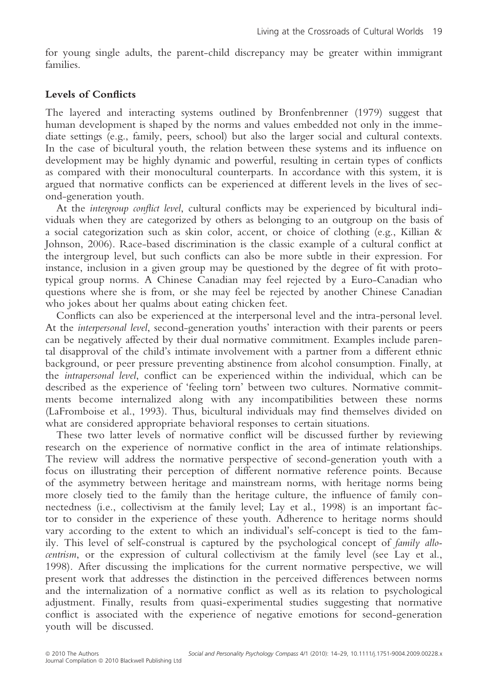for young single adults, the parent-child discrepancy may be greater within immigrant families.

# Levels of Conflicts

The layered and interacting systems outlined by Bronfenbrenner (1979) suggest that human development is shaped by the norms and values embedded not only in the immediate settings (e.g., family, peers, school) but also the larger social and cultural contexts. In the case of bicultural youth, the relation between these systems and its influence on development may be highly dynamic and powerful, resulting in certain types of conflicts as compared with their monocultural counterparts. In accordance with this system, it is argued that normative conflicts can be experienced at different levels in the lives of second-generation youth.

At the intergroup conflict level, cultural conflicts may be experienced by bicultural individuals when they are categorized by others as belonging to an outgroup on the basis of a social categorization such as skin color, accent, or choice of clothing (e.g., Killian & Johnson, 2006). Race-based discrimination is the classic example of a cultural conflict at the intergroup level, but such conflicts can also be more subtle in their expression. For instance, inclusion in a given group may be questioned by the degree of fit with prototypical group norms. A Chinese Canadian may feel rejected by a Euro-Canadian who questions where she is from, or she may feel be rejected by another Chinese Canadian who jokes about her qualms about eating chicken feet.

Conflicts can also be experienced at the interpersonal level and the intra-personal level. At the interpersonal level, second-generation youths' interaction with their parents or peers can be negatively affected by their dual normative commitment. Examples include parental disapproval of the child's intimate involvement with a partner from a different ethnic background, or peer pressure preventing abstinence from alcohol consumption. Finally, at the intrapersonal level, conflict can be experienced within the individual, which can be described as the experience of 'feeling torn' between two cultures. Normative commitments become internalized along with any incompatibilities between these norms (LaFromboise et al., 1993). Thus, bicultural individuals may find themselves divided on what are considered appropriate behavioral responses to certain situations.

These two latter levels of normative conflict will be discussed further by reviewing research on the experience of normative conflict in the area of intimate relationships. The review will address the normative perspective of second-generation youth with a focus on illustrating their perception of different normative reference points. Because of the asymmetry between heritage and mainstream norms, with heritage norms being more closely tied to the family than the heritage culture, the influence of family connectedness (i.e., collectivism at the family level; Lay et al., 1998) is an important factor to consider in the experience of these youth. Adherence to heritage norms should vary according to the extent to which an individual's self-concept is tied to the family. This level of self-construal is captured by the psychological concept of family allocentrism, or the expression of cultural collectivism at the family level (see Lay et al., 1998). After discussing the implications for the current normative perspective, we will present work that addresses the distinction in the perceived differences between norms and the internalization of a normative conflict as well as its relation to psychological adjustment. Finally, results from quasi-experimental studies suggesting that normative conflict is associated with the experience of negative emotions for second-generation youth will be discussed.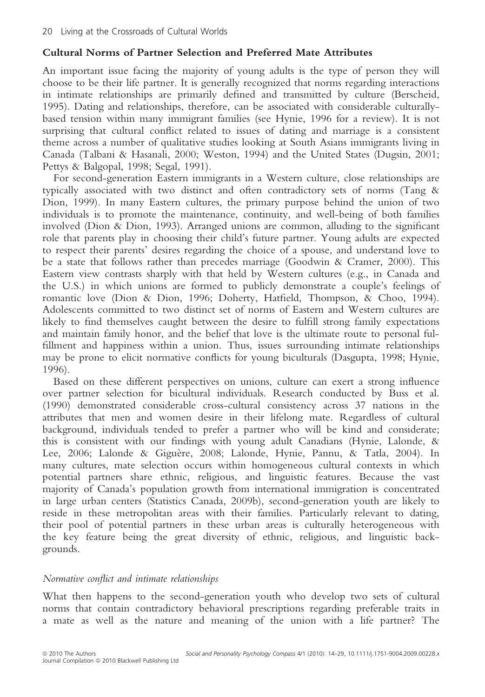# Cultural Norms of Partner Selection and Preferred Mate Attributes

An important issue facing the majority of young adults is the type of person they will choose to be their life partner. It is generally recognized that norms regarding interactions in intimate relationships are primarily defined and transmitted by culture (Berscheid, 1995). Dating and relationships, therefore, can be associated with considerable culturallybased tension within many immigrant families (see Hynie, 1996 for a review). It is not surprising that cultural conflict related to issues of dating and marriage is a consistent theme across a number of qualitative studies looking at South Asians immigrants living in Canada (Talbani & Hasanali, 2000; Weston, 1994) and the United States (Dugsin, 2001; Pettys & Balgopal, 1998; Segal, 1991).

For second-generation Eastern immigrants in a Western culture, close relationships are typically associated with two distinct and often contradictory sets of norms (Tang & Dion, 1999). In many Eastern cultures, the primary purpose behind the union of two individuals is to promote the maintenance, continuity, and well-being of both families involved (Dion & Dion, 1993). Arranged unions are common, alluding to the significant role that parents play in choosing their child's future partner. Young adults are expected to respect their parents' desires regarding the choice of a spouse, and understand love to be a state that follows rather than precedes marriage (Goodwin & Cramer, 2000). This Eastern view contrasts sharply with that held by Western cultures (e.g., in Canada and the U.S.) in which unions are formed to publicly demonstrate a couple's feelings of romantic love (Dion & Dion, 1996; Doherty, Hatfield, Thompson, & Choo, 1994). Adolescents committed to two distinct set of norms of Eastern and Western cultures are likely to find themselves caught between the desire to fulfill strong family expectations and maintain family honor, and the belief that love is the ultimate route to personal fulfillment and happiness within a union. Thus, issues surrounding intimate relationships may be prone to elicit normative conflicts for young biculturals (Dasgupta, 1998; Hynie, 1996).

Based on these different perspectives on unions, culture can exert a strong influence over partner selection for bicultural individuals. Research conducted by Buss et al. (1990) demonstrated considerable cross-cultural consistency across 37 nations in the attributes that men and women desire in their lifelong mate. Regardless of cultural background, individuals tended to prefer a partner who will be kind and considerate; this is consistent with our findings with young adult Canadians (Hynie, Lalonde, & Lee, 2006; Lalonde & Giguère, 2008; Lalonde, Hynie, Pannu, & Tatla, 2004). In many cultures, mate selection occurs within homogeneous cultural contexts in which potential partners share ethnic, religious, and linguistic features. Because the vast majority of Canada's population growth from international immigration is concentrated in large urban centers (Statistics Canada, 2009b), second-generation youth are likely to reside in these metropolitan areas with their families. Particularly relevant to dating, their pool of potential partners in these urban areas is culturally heterogeneous with the key feature being the great diversity of ethnic, religious, and linguistic backgrounds.

#### Normative conflict and intimate relationships

What then happens to the second-generation youth who develop two sets of cultural norms that contain contradictory behavioral prescriptions regarding preferable traits in a mate as well as the nature and meaning of the union with a life partner? The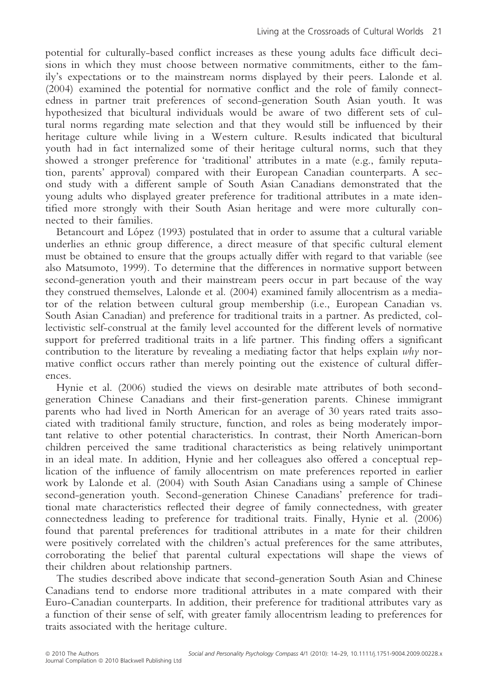potential for culturally-based conflict increases as these young adults face difficult decisions in which they must choose between normative commitments, either to the family's expectations or to the mainstream norms displayed by their peers. Lalonde et al. (2004) examined the potential for normative conflict and the role of family connectedness in partner trait preferences of second-generation South Asian youth. It was hypothesized that bicultural individuals would be aware of two different sets of cultural norms regarding mate selection and that they would still be influenced by their heritage culture while living in a Western culture. Results indicated that bicultural youth had in fact internalized some of their heritage cultural norms, such that they showed a stronger preference for 'traditional' attributes in a mate (e.g., family reputation, parents' approval) compared with their European Canadian counterparts. A second study with a different sample of South Asian Canadians demonstrated that the young adults who displayed greater preference for traditional attributes in a mate identified more strongly with their South Asian heritage and were more culturally connected to their families.

Betancourt and López (1993) postulated that in order to assume that a cultural variable underlies an ethnic group difference, a direct measure of that specific cultural element must be obtained to ensure that the groups actually differ with regard to that variable (see also Matsumoto, 1999). To determine that the differences in normative support between second-generation youth and their mainstream peers occur in part because of the way they construed themselves, Lalonde et al. (2004) examined family allocentrism as a mediator of the relation between cultural group membership (i.e., European Canadian vs. South Asian Canadian) and preference for traditional traits in a partner. As predicted, collectivistic self-construal at the family level accounted for the different levels of normative support for preferred traditional traits in a life partner. This finding offers a significant contribution to the literature by revealing a mediating factor that helps explain why normative conflict occurs rather than merely pointing out the existence of cultural differences.

Hynie et al. (2006) studied the views on desirable mate attributes of both secondgeneration Chinese Canadians and their first-generation parents. Chinese immigrant parents who had lived in North American for an average of 30 years rated traits associated with traditional family structure, function, and roles as being moderately important relative to other potential characteristics. In contrast, their North American-born children perceived the same traditional characteristics as being relatively unimportant in an ideal mate. In addition, Hynie and her colleagues also offered a conceptual replication of the influence of family allocentrism on mate preferences reported in earlier work by Lalonde et al. (2004) with South Asian Canadians using a sample of Chinese second-generation youth. Second-generation Chinese Canadians' preference for traditional mate characteristics reflected their degree of family connectedness, with greater connectedness leading to preference for traditional traits. Finally, Hynie et al. (2006) found that parental preferences for traditional attributes in a mate for their children were positively correlated with the children's actual preferences for the same attributes, corroborating the belief that parental cultural expectations will shape the views of their children about relationship partners.

The studies described above indicate that second-generation South Asian and Chinese Canadians tend to endorse more traditional attributes in a mate compared with their Euro-Canadian counterparts. In addition, their preference for traditional attributes vary as a function of their sense of self, with greater family allocentrism leading to preferences for traits associated with the heritage culture.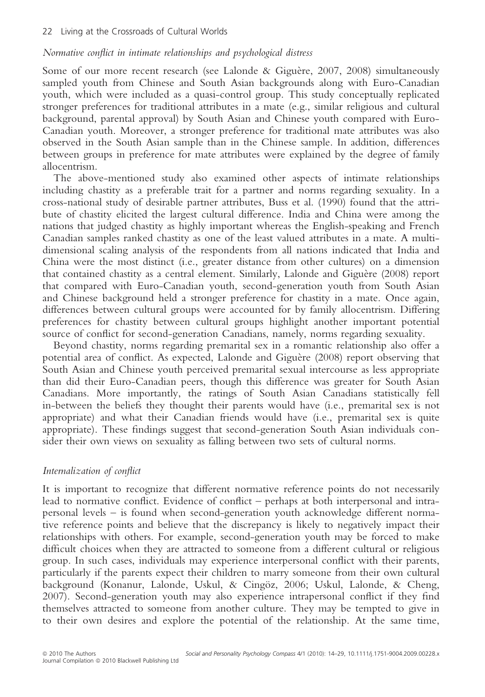## Normative conflict in intimate relationships and psychological distress

Some of our more recent research (see Lalonde & Giguère, 2007, 2008) simultaneously sampled youth from Chinese and South Asian backgrounds along with Euro-Canadian youth, which were included as a quasi-control group. This study conceptually replicated stronger preferences for traditional attributes in a mate (e.g., similar religious and cultural background, parental approval) by South Asian and Chinese youth compared with Euro-Canadian youth. Moreover, a stronger preference for traditional mate attributes was also observed in the South Asian sample than in the Chinese sample. In addition, differences between groups in preference for mate attributes were explained by the degree of family allocentrism.

The above-mentioned study also examined other aspects of intimate relationships including chastity as a preferable trait for a partner and norms regarding sexuality. In a cross-national study of desirable partner attributes, Buss et al. (1990) found that the attribute of chastity elicited the largest cultural difference. India and China were among the nations that judged chastity as highly important whereas the English-speaking and French Canadian samples ranked chastity as one of the least valued attributes in a mate. A multidimensional scaling analysis of the respondents from all nations indicated that India and China were the most distinct (i.e., greater distance from other cultures) on a dimension that contained chastity as a central element. Similarly, Lalonde and Giguère (2008) report that compared with Euro-Canadian youth, second-generation youth from South Asian and Chinese background held a stronger preference for chastity in a mate. Once again, differences between cultural groups were accounted for by family allocentrism. Differing preferences for chastity between cultural groups highlight another important potential source of conflict for second-generation Canadians, namely, norms regarding sexuality.

Beyond chastity, norms regarding premarital sex in a romantic relationship also offer a potential area of conflict. As expected, Lalonde and Giguère (2008) report observing that South Asian and Chinese youth perceived premarital sexual intercourse as less appropriate than did their Euro-Canadian peers, though this difference was greater for South Asian Canadians. More importantly, the ratings of South Asian Canadians statistically fell in-between the beliefs they thought their parents would have (i.e., premarital sex is not appropriate) and what their Canadian friends would have (i.e., premarital sex is quite appropriate). These findings suggest that second-generation South Asian individuals consider their own views on sexuality as falling between two sets of cultural norms.

#### Internalization of conflict

It is important to recognize that different normative reference points do not necessarily lead to normative conflict. Evidence of conflict – perhaps at both interpersonal and intrapersonal levels – is found when second-generation youth acknowledge different normative reference points and believe that the discrepancy is likely to negatively impact their relationships with others. For example, second-generation youth may be forced to make difficult choices when they are attracted to someone from a different cultural or religious group. In such cases, individuals may experience interpersonal conflict with their parents, particularly if the parents expect their children to marry someone from their own cultural background (Konanur, Lalonde, Uskul, & Cingöz, 2006; Uskul, Lalonde, & Cheng, 2007). Second-generation youth may also experience intrapersonal conflict if they find themselves attracted to someone from another culture. They may be tempted to give in to their own desires and explore the potential of the relationship. At the same time,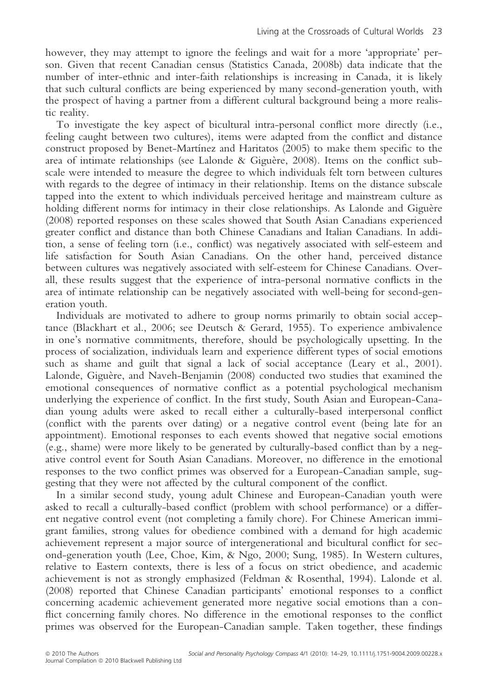however, they may attempt to ignore the feelings and wait for a more 'appropriate' person. Given that recent Canadian census (Statistics Canada, 2008b) data indicate that the number of inter-ethnic and inter-faith relationships is increasing in Canada, it is likely that such cultural conflicts are being experienced by many second-generation youth, with the prospect of having a partner from a different cultural background being a more realistic reality.

To investigate the key aspect of bicultural intra-personal conflict more directly (i.e., feeling caught between two cultures), items were adapted from the conflict and distance construct proposed by Benet-Martínez and Haritatos (2005) to make them specific to the area of intimate relationships (see Lalonde & Giguère, 2008). Items on the conflict subscale were intended to measure the degree to which individuals felt torn between cultures with regards to the degree of intimacy in their relationship. Items on the distance subscale tapped into the extent to which individuals perceived heritage and mainstream culture as holding different norms for intimacy in their close relationships. As Lalonde and Giguère (2008) reported responses on these scales showed that South Asian Canadians experienced greater conflict and distance than both Chinese Canadians and Italian Canadians. In addition, a sense of feeling torn (i.e., conflict) was negatively associated with self-esteem and life satisfaction for South Asian Canadians. On the other hand, perceived distance between cultures was negatively associated with self-esteem for Chinese Canadians. Overall, these results suggest that the experience of intra-personal normative conflicts in the area of intimate relationship can be negatively associated with well-being for second-generation youth.

Individuals are motivated to adhere to group norms primarily to obtain social acceptance (Blackhart et al., 2006; see Deutsch & Gerard, 1955). To experience ambivalence in one's normative commitments, therefore, should be psychologically upsetting. In the process of socialization, individuals learn and experience different types of social emotions such as shame and guilt that signal a lack of social acceptance (Leary et al., 2001). Lalonde, Giguère, and Naveh-Benjamin (2008) conducted two studies that examined the emotional consequences of normative conflict as a potential psychological mechanism underlying the experience of conflict. In the first study, South Asian and European-Canadian young adults were asked to recall either a culturally-based interpersonal conflict (conflict with the parents over dating) or a negative control event (being late for an appointment). Emotional responses to each events showed that negative social emotions (e.g., shame) were more likely to be generated by culturally-based conflict than by a negative control event for South Asian Canadians. Moreover, no difference in the emotional responses to the two conflict primes was observed for a European-Canadian sample, suggesting that they were not affected by the cultural component of the conflict.

In a similar second study, young adult Chinese and European-Canadian youth were asked to recall a culturally-based conflict (problem with school performance) or a different negative control event (not completing a family chore). For Chinese American immigrant families, strong values for obedience combined with a demand for high academic achievement represent a major source of intergenerational and bicultural conflict for second-generation youth (Lee, Choe, Kim, & Ngo, 2000; Sung, 1985). In Western cultures, relative to Eastern contexts, there is less of a focus on strict obedience, and academic achievement is not as strongly emphasized (Feldman & Rosenthal, 1994). Lalonde et al. (2008) reported that Chinese Canadian participants' emotional responses to a conflict concerning academic achievement generated more negative social emotions than a conflict concerning family chores. No difference in the emotional responses to the conflict primes was observed for the European-Canadian sample. Taken together, these findings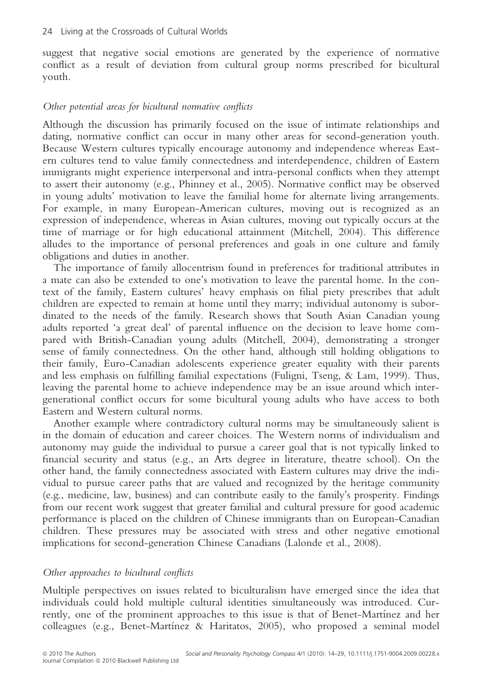suggest that negative social emotions are generated by the experience of normative conflict as a result of deviation from cultural group norms prescribed for bicultural youth.

## Other potential areas for bicultural normative conflicts

Although the discussion has primarily focused on the issue of intimate relationships and dating, normative conflict can occur in many other areas for second-generation youth. Because Western cultures typically encourage autonomy and independence whereas Eastern cultures tend to value family connectedness and interdependence, children of Eastern immigrants might experience interpersonal and intra-personal conflicts when they attempt to assert their autonomy (e.g., Phinney et al., 2005). Normative conflict may be observed in young adults' motivation to leave the familial home for alternate living arrangements. For example, in many European-American cultures, moving out is recognized as an expression of independence, whereas in Asian cultures, moving out typically occurs at the time of marriage or for high educational attainment (Mitchell, 2004). This difference alludes to the importance of personal preferences and goals in one culture and family obligations and duties in another.

The importance of family allocentrism found in preferences for traditional attributes in a mate can also be extended to one's motivation to leave the parental home. In the context of the family, Eastern cultures' heavy emphasis on filial piety prescribes that adult children are expected to remain at home until they marry; individual autonomy is subordinated to the needs of the family. Research shows that South Asian Canadian young adults reported 'a great deal' of parental influence on the decision to leave home compared with British-Canadian young adults (Mitchell, 2004), demonstrating a stronger sense of family connectedness. On the other hand, although still holding obligations to their family, Euro-Canadian adolescents experience greater equality with their parents and less emphasis on fulfilling familial expectations (Fuligni, Tseng, & Lam, 1999). Thus, leaving the parental home to achieve independence may be an issue around which intergenerational conflict occurs for some bicultural young adults who have access to both Eastern and Western cultural norms.

Another example where contradictory cultural norms may be simultaneously salient is in the domain of education and career choices. The Western norms of individualism and autonomy may guide the individual to pursue a career goal that is not typically linked to financial security and status (e.g., an Arts degree in literature, theatre school). On the other hand, the family connectedness associated with Eastern cultures may drive the individual to pursue career paths that are valued and recognized by the heritage community (e.g., medicine, law, business) and can contribute easily to the family's prosperity. Findings from our recent work suggest that greater familial and cultural pressure for good academic performance is placed on the children of Chinese immigrants than on European-Canadian children. These pressures may be associated with stress and other negative emotional implications for second-generation Chinese Canadians (Lalonde et al., 2008).

## Other approaches to bicultural conflicts

Multiple perspectives on issues related to biculturalism have emerged since the idea that individuals could hold multiple cultural identities simultaneously was introduced. Currently, one of the prominent approaches to this issue is that of Benet-Martínez and her colleagues (e.g., Benet-Martínez & Haritatos, 2005), who proposed a seminal model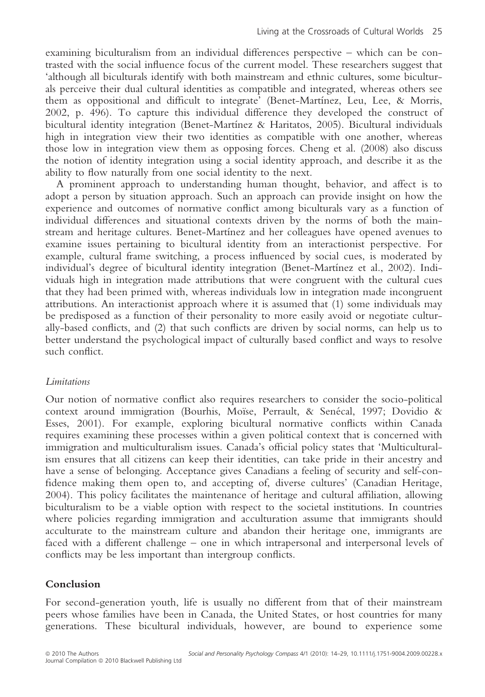examining biculturalism from an individual differences perspective – which can be contrasted with the social influence focus of the current model. These researchers suggest that 'although all biculturals identify with both mainstream and ethnic cultures, some biculturals perceive their dual cultural identities as compatible and integrated, whereas others see them as oppositional and difficult to integrate' (Benet-Martínez, Leu, Lee, & Morris, 2002, p. 496). To capture this individual difference they developed the construct of bicultural identity integration (Benet-Martínez & Haritatos, 2005). Bicultural individuals high in integration view their two identities as compatible with one another, whereas those low in integration view them as opposing forces. Cheng et al. (2008) also discuss the notion of identity integration using a social identity approach, and describe it as the ability to flow naturally from one social identity to the next.

A prominent approach to understanding human thought, behavior, and affect is to adopt a person by situation approach. Such an approach can provide insight on how the experience and outcomes of normative conflict among biculturals vary as a function of individual differences and situational contexts driven by the norms of both the mainstream and heritage cultures. Benet-Martínez and her colleagues have opened avenues to examine issues pertaining to bicultural identity from an interactionist perspective. For example, cultural frame switching, a process influenced by social cues, is moderated by individual's degree of bicultural identity integration (Benet-Martínez et al., 2002). Individuals high in integration made attributions that were congruent with the cultural cues that they had been primed with, whereas individuals low in integration made incongruent attributions. An interactionist approach where it is assumed that (1) some individuals may be predisposed as a function of their personality to more easily avoid or negotiate culturally-based conflicts, and (2) that such conflicts are driven by social norms, can help us to better understand the psychological impact of culturally based conflict and ways to resolve such conflict.

# Limitations

Our notion of normative conflict also requires researchers to consider the socio-political context around immigration (Bourhis, Moïse, Perrault, & Senécal, 1997; Dovidio & Esses, 2001). For example, exploring bicultural normative conflicts within Canada requires examining these processes within a given political context that is concerned with immigration and multiculturalism issues. Canada's official policy states that 'Multiculturalism ensures that all citizens can keep their identities, can take pride in their ancestry and have a sense of belonging. Acceptance gives Canadians a feeling of security and self-confidence making them open to, and accepting of, diverse cultures' (Canadian Heritage, 2004). This policy facilitates the maintenance of heritage and cultural affiliation, allowing biculturalism to be a viable option with respect to the societal institutions. In countries where policies regarding immigration and acculturation assume that immigrants should acculturate to the mainstream culture and abandon their heritage one, immigrants are faced with a different challenge – one in which intrapersonal and interpersonal levels of conflicts may be less important than intergroup conflicts.

# Conclusion

For second-generation youth, life is usually no different from that of their mainstream peers whose families have been in Canada, the United States, or host countries for many generations. These bicultural individuals, however, are bound to experience some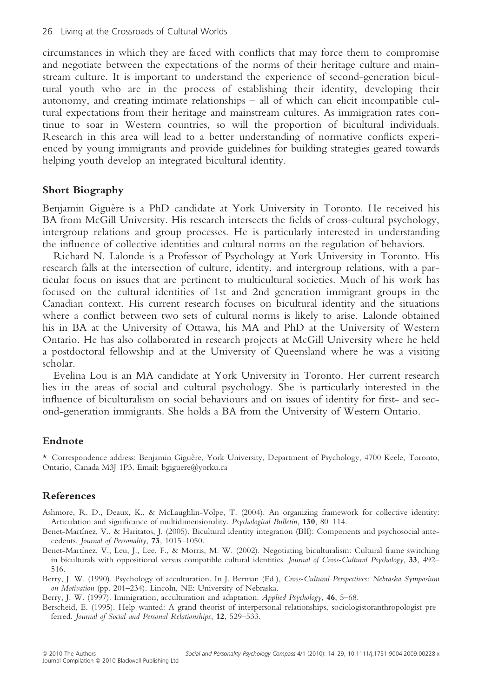circumstances in which they are faced with conflicts that may force them to compromise and negotiate between the expectations of the norms of their heritage culture and mainstream culture. It is important to understand the experience of second-generation bicultural youth who are in the process of establishing their identity, developing their autonomy, and creating intimate relationships – all of which can elicit incompatible cultural expectations from their heritage and mainstream cultures. As immigration rates continue to soar in Western countries, so will the proportion of bicultural individuals. Research in this area will lead to a better understanding of normative conflicts experienced by young immigrants and provide guidelines for building strategies geared towards helping youth develop an integrated bicultural identity.

## Short Biography

Benjamin Giguère is a PhD candidate at York University in Toronto. He received his BA from McGill University. His research intersects the fields of cross-cultural psychology, intergroup relations and group processes. He is particularly interested in understanding the influence of collective identities and cultural norms on the regulation of behaviors.

Richard N. Lalonde is a Professor of Psychology at York University in Toronto. His research falls at the intersection of culture, identity, and intergroup relations, with a particular focus on issues that are pertinent to multicultural societies. Much of his work has focused on the cultural identities of 1st and 2nd generation immigrant groups in the Canadian context. His current research focuses on bicultural identity and the situations where a conflict between two sets of cultural norms is likely to arise. Lalonde obtained his in BA at the University of Ottawa, his MA and PhD at the University of Western Ontario. He has also collaborated in research projects at McGill University where he held a postdoctoral fellowship and at the University of Queensland where he was a visiting scholar.

Evelina Lou is an MA candidate at York University in Toronto. Her current research lies in the areas of social and cultural psychology. She is particularly interested in the influence of biculturalism on social behaviours and on issues of identity for first- and second-generation immigrants. She holds a BA from the University of Western Ontario.

## Endnote

\* Correspondence address: Benjamin Giguère, York University, Department of Psychology, 4700 Keele, Toronto, Ontario, Canada M3J 1P3. Email: bgiguere@yorku.ca

## References

Ashmore, R. D., Deaux, K., & McLaughlin-Volpe, T. (2004). An organizing framework for collective identity: Articulation and significance of multidimensionality. Psychological Bulletin, 130, 80–114.

Benet-Martínez, V., & Haritatos, J. (2005). Bicultural identity integration (BII): Components and psychosocial antecedents. Journal of Personality, 73, 1015–1050.

Benet-Martínez, V., Leu, J., Lee, F., & Morris, M. W. (2002). Negotiating biculturalism: Cultural frame switching in biculturals with oppositional versus compatible cultural identities. Journal of Cross-Cultural Psychology, 33, 492– 516.

Berry, J. W. (1990). Psychology of acculturation. In J. Berman (Ed.), Cross-Cultural Perspectives: Nebraska Symposium on Motivation (pp. 201–234). Lincoln, NE: University of Nebraska.

Berry, J. W. (1997). Immigration, acculturation and adaptation. Applied Psychology, 46, 5–68.

Berscheid, E. (1995). Help wanted: A grand theorist of interpersonal relationships, sociologistoranthropologist preferred. Journal of Social and Personal Relationships, 12, 529–533.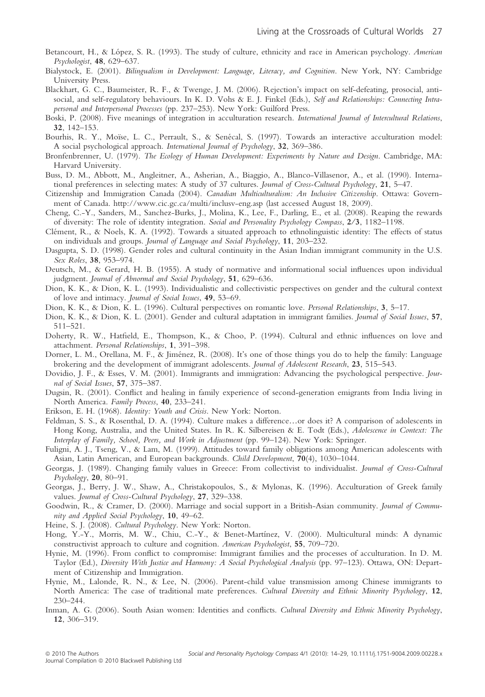- Betancourt, H., & López, S. R. (1993). The study of culture, ethnicity and race in American psychology. American Psychologist, 48, 629–637.
- Bialystock, E. (2001). Bilingualism in Development: Language, Literacy, and Cognition. New York, NY: Cambridge University Press.
- Blackhart, G. C., Baumeister, R. F., & Twenge, J. M. (2006). Rejection's impact on self-defeating, prosocial, antisocial, and self-regulatory behaviours. In K. D. Vohs & E. J. Finkel (Eds.), Self and Relationships: Connecting Intrapersonal and Interpersonal Processes (pp. 237–253). New York: Guilford Press.
- Boski, P. (2008). Five meanings of integration in acculturation research. International Journal of Intercultural Relations, 32, 142–153.
- Bourhis, R. Y., Moïse, L. C., Perrault, S., & Senécal, S. (1997). Towards an interactive acculturation model: A social psychological approach. International Journal of Psychology, 32, 369–386.
- Bronfenbrenner, U. (1979). The Ecology of Human Development: Experiments by Nature and Design. Cambridge, MA: Harvard University.
- Buss, D. M., Abbott, M., Angleitner, A., Asherian, A., Biaggio, A., Blanco-Villasenor, A., et al. (1990). International preferences in selecting mates: A study of 37 cultures. Journal of Cross-Cultural Psychology, 21, 5–47.
- Citizenship and Immigration Canada (2004). Canadian Multiculturalism: An Inclusive Citizenship. Ottawa: Government of Canada. http://www.cic.gc.ca/multi/inclusv-eng.asp (last accessed August 18, 2009).
- Cheng, C.-Y., Sanders, M., Sanchez-Burks, J., Molina, K., Lee, F., Darling, E., et al. (2008). Reaping the rewards of diversity: The role of identity integration. Social and Personality Psychology Compass,  $2/3$ , 1182–1198.
- Clément, R., & Noels, K. A. (1992). Towards a situated approach to ethnolinguistic identity: The effects of status on individuals and groups. Journal of Language and Social Psychology, 11, 203–232.
- Dasgupta, S. D. (1998). Gender roles and cultural continuity in the Asian Indian immigrant community in the U.S. Sex Roles, 38, 953–974.
- Deutsch, M., & Gerard, H. B. (1955). A study of normative and informational social influences upon individual judgment. Journal of Abnormal and Social Psychology, 51, 629–636.
- Dion, K. K., & Dion, K. L. (1993). Individualistic and collectivistic perspectives on gender and the cultural context of love and intimacy. Journal of Social Issues, 49, 53–69.
- Dion, K. K., & Dion, K. L. (1996). Cultural perspectives on romantic love. Personal Relationships, 3, 5–17.
- Dion, K. K., & Dion, K. L. (2001). Gender and cultural adaptation in immigrant families. Journal of Social Issues, 57, 511–521.
- Doherty, R. W., Hatfield, E., Thompson, K., & Choo, P. (1994). Cultural and ethnic influences on love and attachment. Personal Relationships, 1, 391–398.
- Dorner, L. M., Orellana, M. F., & Jiménez, R. (2008). It's one of those things you do to help the family: Language brokering and the development of immigrant adolescents. Journal of Adolescent Research, 23, 515–543.
- Dovidio, J. F., & Esses, V. M. (2001). Immigrants and immigration: Advancing the psychological perspective. Journal of Social Issues, 57, 375–387.
- Dugsin, R. (2001). Conflict and healing in family experience of second-generation emigrants from India living in North America. Family Process, 40, 233–241.
- Erikson, E. H. (1968). Identity: Youth and Crisis. New York: Norton.
- Feldman, S. S., & Rosenthal, D. A. (1994). Culture makes a difference…or does it? A comparison of adolescents in Hong Kong, Australia, and the United States. In R. K. Silbereisen & E. Todt (Eds.), Adolescence in Context: The Interplay of Family, School, Peers, and Work in Adjustment (pp. 99–124). New York: Springer.
- Fuligni, A. J., Tseng, V., & Lam, M. (1999). Attitudes toward family obligations among American adolescents with Asian, Latin American, and European backgrounds. Child Development, 70(4), 1030–1044.
- Georgas, J. (1989). Changing family values in Greece: From collectivist to individualist. Journal of Cross-Cultural Psychology, 20, 80–91.
- Georgas, J., Berry, J. W., Shaw, A., Christakopoulos, S., & Mylonas, K. (1996). Acculturation of Greek family values. Journal of Cross-Cultural Psychology, 27, 329–338.
- Goodwin, R., & Cramer, D. (2000). Marriage and social support in a British-Asian community. Journal of Community and Applied Social Psychology, 10, 49–62.
- Heine, S. J. (2008). Cultural Psychology. New York: Norton.
- Hong, Y.-Y., Morris, M. W., Chiu, C.-Y., & Benet-Martínez, V. (2000). Multicultural minds: A dynamic constructivist approach to culture and cognition. American Psychologist, 55, 709–720.
- Hynie, M. (1996). From conflict to compromise: Immigrant families and the processes of acculturation. In D. M. Taylor (Ed.), Diversity With Justice and Harmony: A Social Psychological Analysis (pp. 97–123). Ottawa, ON: Department of Citizenship and Immigration.
- Hynie, M., Lalonde, R. N., & Lee, N. (2006). Parent-child value transmission among Chinese immigrants to North America: The case of traditional mate preferences. Cultural Diversity and Ethnic Minority Psychology, 12, 230–244.
- Inman, A. G. (2006). South Asian women: Identities and conflicts. Cultural Diversity and Ethnic Minority Psychology, 12, 306–319.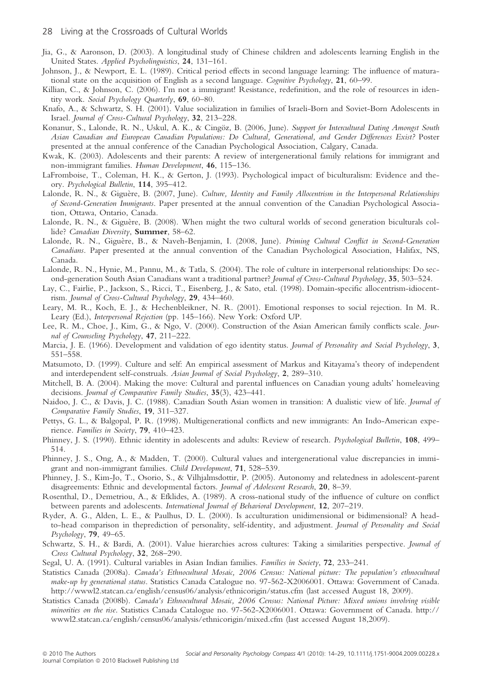- Jia, G., & Aaronson, D. (2003). A longitudinal study of Chinese children and adolescents learning English in the United States. Applied Psycholinguistics, 24, 131–161.
- Johnson, J., & Newport, E. L. (1989). Critical period effects in second language learning: The influence of maturational state on the acquisition of English as a second language. Cognitive Psychology, 21, 60-99.
- Killian, C., & Johnson, C. (2006). I'm not a immigrant! Resistance, redefinition, and the role of resources in identity work. Social Psychology Quarterly, 69, 60–80.
- Knafo, A., & Schwartz, S. H. (2001). Value socialization in families of Israeli-Born and Soviet-Born Adolescents in Israel. Journal of Cross-Cultural Psychology, 32, 213–228.
- Konanur, S., Lalonde, R. N., Uskul, A. K., & Cingöz, B. (2006, June). Support for Intercultural Dating Amongst South Asian Canadian and European Canadian Populations: Do Cultural, Generational, and Gender Differences Exist? Poster presented at the annual conference of the Canadian Psychological Association, Calgary, Canada.
- Kwak, K. (2003). Adolescents and their parents: A review of intergenerational family relations for immigrant and non-immigrant families. Human Development, 46, 115–136.
- LaFromboise, T., Coleman, H. K., & Gerton, J. (1993). Psychological impact of biculturalism: Evidence and theory. Psychological Bulletin, 114, 395–412.
- Lalonde, R. N., & Giguère, B. (2007, June). Culture, Identity and Family Allocentrism in the Interpersonal Relationships of Second-Generation Immigrants. Paper presented at the annual convention of the Canadian Psychological Association, Ottawa, Ontario, Canada.
- Lalonde, R. N., & Giguère, B. (2008). When might the two cultural worlds of second generation biculturals collide? Canadian Diversity, Summer, 58-62.
- Lalonde, R. N., Giguère, B., & Naveh-Benjamin, I. (2008, June). Priming Cultural Conflict in Second-Generation Canadians. Paper presented at the annual convention of the Canadian Psychological Association, Halifax, NS, Canada.
- Lalonde, R. N., Hynie, M., Pannu, M., & Tatla, S. (2004). The role of culture in interpersonal relationships: Do second-generation South Asian Canadians want a traditional partner? Journal of Cross-Cultural Psychology, 35, 503–524.
- Lay, C., Fairlie, P., Jackson, S., Ricci, T., Eisenberg, J., & Sato, etal. (1998). Domain-specific allocentrism-idiocentrism. Journal of Cross-Cultural Psychology, 29, 434–460.
- Leary, M. R., Koch, E. J., & Hechenbleikner, N. R. (2001). Emotional responses to social rejection. In M. R. Leary (Ed.), Interpersonal Rejection (pp. 145–166). New York: Oxford UP.
- Lee, R. M., Choe, J., Kim, G., & Ngo, V. (2000). Construction of the Asian American family conflicts scale. Journal of Counseling Psychology, 47, 211–222.
- Marcia, J. E. (1966). Development and validation of ego identity status. Journal of Personality and Social Psychology, 3, 551–558.
- Matsumoto, D. (1999). Culture and self: An empirical assessment of Markus and Kitayama's theory of independent and interdependent self-construals. Asian Journal of Social Psychology, 2, 289–310.
- Mitchell, B. A. (2004). Making the move: Cultural and parental influences on Canadian young adults' homeleaving decisions. Journal of Comparative Family Studies, 35(3), 423–441.
- Naidoo, J. C., & Davis, J. C. (1988). Canadian South Asian women in transition: A dualistic view of life. Journal of Comparative Family Studies, 19, 311–327.
- Pettys, G. L., & Balgopal, P. R. (1998). Multigenerational conflicts and new immigrants: An Indo-American experience. Families in Society, 79, 410–423.
- Phinney, J. S. (1990). Ethnic identity in adolescents and adults: Review of research. Psychological Bulletin, 108, 499-514.
- Phinney, J. S., Ong, A., & Madden, T. (2000). Cultural values and intergenerational value discrepancies in immigrant and non-immigrant families. Child Development, 71, 528–539.
- Phinney, J. S., Kim-Jo, T., Osorio, S., & Vilhjalmsdottir, P. (2005). Autonomy and relatedness in adolescent-parent disagreements: Ethnic and developmental factors. Journal of Adolescent Research, 20, 8–39.
- Rosenthal, D., Demetriou, A., & Efklides, A. (1989). A cross-national study of the influence of culture on conflict between parents and adolescents. International Journal of Behavioral Development, 12, 207–219.
- Ryder, A. G., Alden, L. E., & Paulhus, D. L. (2000). Is acculturation unidimensional or bidimensional? A headto-head comparison in theprediction of personality, self-identity, and adjustment. Journal of Personality and Social Psychology, 79, 49–65.
- Schwartz, S. H., & Bardi, A. (2001). Value hierarchies across cultures: Taking a similarities perspective. Journal of Cross Cultural Psychology, 32, 268–290.
- Segal, U. A. (1991). Cultural variables in Asian Indian families. Families in Society, 72, 233–241.
- Statistics Canada (2008a). Canada's Ethnocultural Mosaic, 2006 Census: National picture: The population's ethnocultural make-up by generational status. Statistics Canada Catalogue no. 97-562-X2006001. Ottawa: Government of Canada. http://wwwl2.statcan.ca/english/census06/analysis/ethnicorigin/status.cfm (last accessed August 18, 2009).
- Statistics Canada (2008b). Canada's Ethnocultural Mosaic, 2006 Census: National Picture: Mixed unions involving visible minorities on the rise. Statistics Canada Catalogue no. 97-562-X2006001. Ottawa: Government of Canada. http:// wwwl2.statcan.ca/english/census06/analysis/ethnicorigin/mixed.cfm (last accessed August 18,2009).